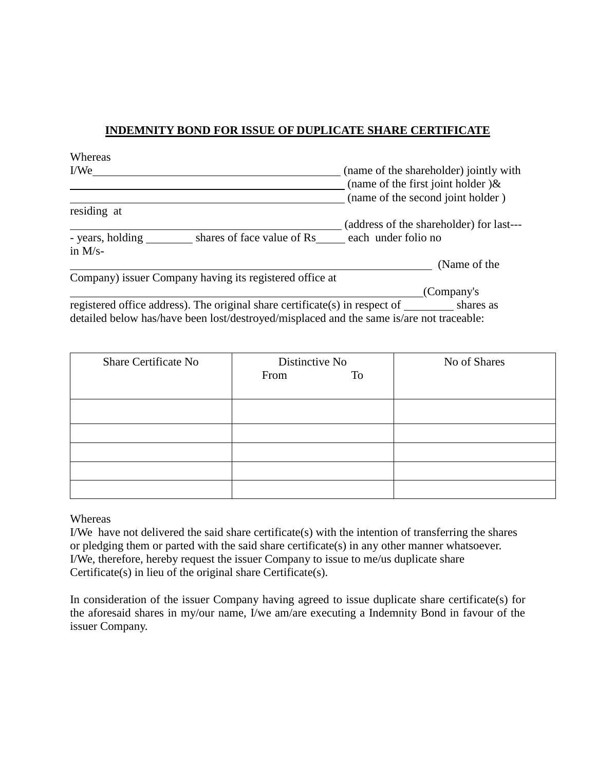## **INDEMNITY BOND FOR ISSUE OF DUPLICATE SHARE CERTIFICATE**

| Whereas                                                                     |                                                                                                       |
|-----------------------------------------------------------------------------|-------------------------------------------------------------------------------------------------------|
| I/We                                                                        | (name of the shareholder) jointly with<br>(name of the first joint holder) $\&$                       |
|                                                                             | (name of the second joint holder)                                                                     |
| residing at                                                                 |                                                                                                       |
|                                                                             | (address of the shareholder) for last---                                                              |
| shares of face value of Rs<br>- years, holding<br>in $M/s$ -                | each under folio no                                                                                   |
|                                                                             | (Name of the                                                                                          |
| Company) issuer Company having its registered office at                     |                                                                                                       |
|                                                                             | (Company's                                                                                            |
| registered office address). The original share certificate(s) in respect of | shares as<br>detailed below has/have been lost/destroyed/misplaced and the same is/are not traceable: |

| <b>Share Certificate No</b> | Distinctive No | No of Shares |
|-----------------------------|----------------|--------------|
|                             | From<br>To     |              |
|                             |                |              |
|                             |                |              |
|                             |                |              |
|                             |                |              |
|                             |                |              |
|                             |                |              |
|                             |                |              |

Whereas

I/We have not delivered the said share certificate(s) with the intention of transferring the shares or pledging them or parted with the said share certificate(s) in any other manner whatsoever. I/We, therefore, hereby request the issuer Company to issue to me/us duplicate share Certificate(s) in lieu of the original share Certificate(s).

In consideration of the issuer Company having agreed to issue duplicate share certificate(s) for the aforesaid shares in my/our name, I/we am/are executing a Indemnity Bond in favour of the issuer Company.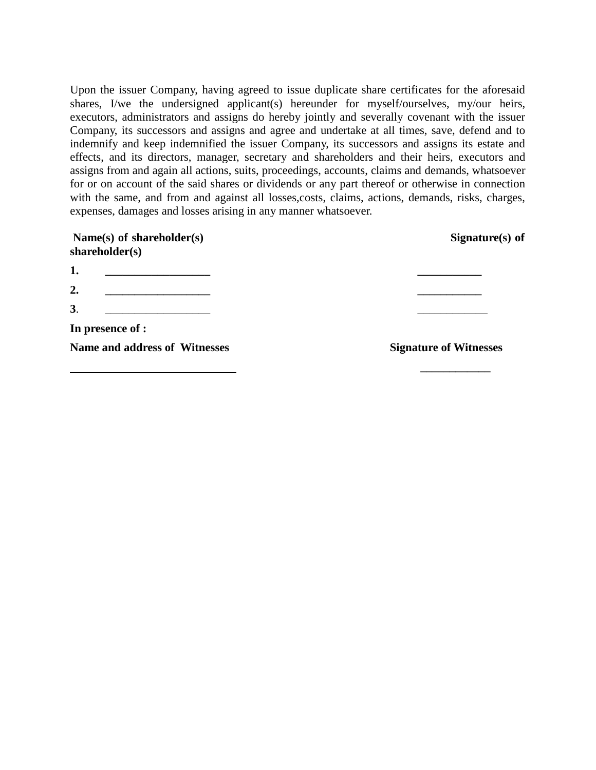Upon the issuer Company, having agreed to issue duplicate share certificates for the aforesaid shares, I/we the undersigned applicant(s) hereunder for myself/ourselves, my/our heirs, executors, administrators and assigns do hereby jointly and severally covenant with the issuer Company, its successors and assigns and agree and undertake at all times, save, defend and to indemnify and keep indemnified the issuer Company, its successors and assigns its estate and effects, and its directors, manager, secretary and shareholders and their heirs, executors and assigns from and again all actions, suits, proceedings, accounts, claims and demands, whatsoever for or on account of the said shares or dividends or any part thereof or otherwise in connection with the same, and from and against all losses,costs, claims, actions, demands, risks, charges, expenses, damages and losses arising in any manner whatsoever.

| Name(s) of shareholder(s)<br>shareholder(s) | Signature $(s)$ of            |
|---------------------------------------------|-------------------------------|
| 1.                                          |                               |
| 2.                                          |                               |
| 3.                                          |                               |
| In presence of :                            |                               |
| Name and address of Witnesses               | <b>Signature of Witnesses</b> |
|                                             |                               |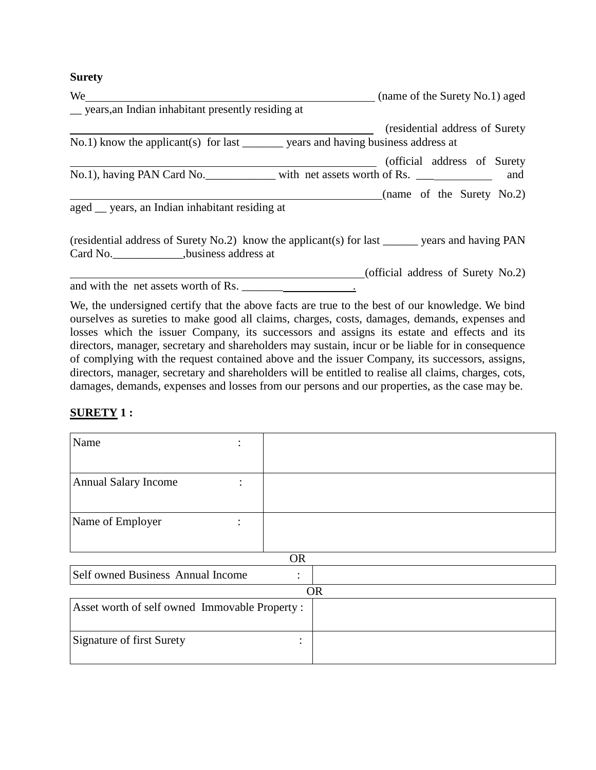#### **Surety**

| We                                                                                               | (name of the Surety No.1) aged    |
|--------------------------------------------------------------------------------------------------|-----------------------------------|
| _ years, an Indian inhabitant presently residing at                                              |                                   |
|                                                                                                  | (residential address of Surety)   |
| No.1) know the applicant(s) for last ________ years and having business address at               |                                   |
|                                                                                                  | (official address of Surety       |
| No.1), having PAN Card No. _____________ with net assets worth of Rs. ___________                | and                               |
|                                                                                                  | (name of the Surety No.2)         |
| aged <u>years</u> , an Indian inhabitant residing at                                             |                                   |
| (residential address of Surety No.2) know the applicant(s) for last _______ years and having PAN |                                   |
|                                                                                                  | (official address of Surety No.2) |
| and with the net assets worth of Rs.                                                             |                                   |
| We, the undersigned certify that the above facts are true to the best of our knowledge. We bind  |                                   |

ourselves as sureties to make good all claims, charges, costs, damages, demands, expenses and losses which the issuer Company, its successors and assigns its estate and effects and its directors, manager, secretary and shareholders may sustain, incur or be liable for in consequence of complying with the request contained above and the issuer Company, its successors, assigns, directors, manager, secretary and shareholders will be entitled to realise all claims, charges, cots, damages, demands, expenses and losses from our persons and our properties, as the case may be.

### **SURETY 1 :**

| Name                                                |   |  |  |
|-----------------------------------------------------|---|--|--|
|                                                     |   |  |  |
| <b>Annual Salary Income</b>                         |   |  |  |
| Name of Employer                                    |   |  |  |
| <b>OR</b>                                           |   |  |  |
| Self owned Business Annual Income<br>٠<br>$\bullet$ |   |  |  |
| <b>OR</b>                                           |   |  |  |
| Asset worth of self owned Immovable Property:       |   |  |  |
| Signature of first Surety                           | ٠ |  |  |